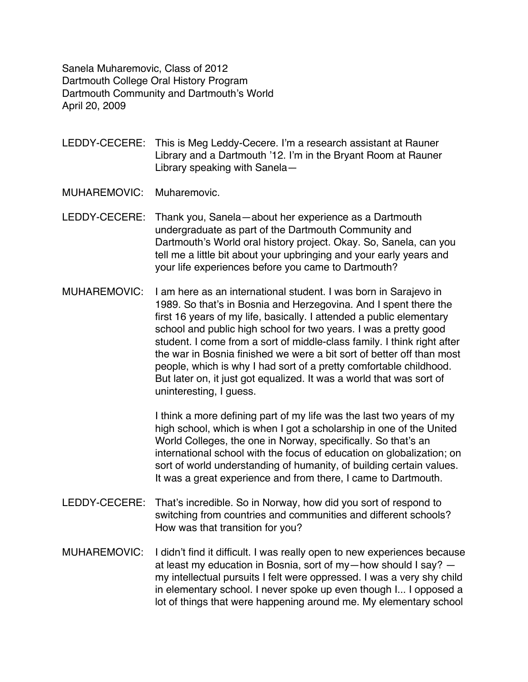Sanela Muharemovic, Class of 2012 Dartmouth College Oral History Program Dartmouth Community and Dartmouth's World April 20, 2009

LEDDY-CECERE: This is Meg Leddy-Cecere. I'm a research assistant at Rauner Library and a Dartmouth '12. I'm in the Bryant Room at Rauner Library speaking with Sanela—

MUHAREMOVIC: Muharemovic.

- LEDDY-CECERE: Thank you, Sanela—about her experience as a Dartmouth undergraduate as part of the Dartmouth Community and Dartmouth's World oral history project. Okay. So, Sanela, can you tell me a little bit about your upbringing and your early years and your life experiences before you came to Dartmouth?
- MUHAREMOVIC: I am here as an international student. I was born in Sarajevo in 1989. So that's in Bosnia and Herzegovina. And I spent there the first 16 years of my life, basically. I attended a public elementary school and public high school for two years. I was a pretty good student. I come from a sort of middle-class family. I think right after the war in Bosnia finished we were a bit sort of better off than most people, which is why I had sort of a pretty comfortable childhood. But later on, it just got equalized. It was a world that was sort of uninteresting, I guess.

I think a more defining part of my life was the last two years of my high school, which is when I got a scholarship in one of the United World Colleges, the one in Norway, specifically. So that's an international school with the focus of education on globalization; on sort of world understanding of humanity, of building certain values. It was a great experience and from there, I came to Dartmouth.

- LEDDY-CECERE: That's incredible. So in Norway, how did you sort of respond to switching from countries and communities and different schools? How was that transition for you?
- MUHAREMOVIC: I didn't find it difficult. I was really open to new experiences because at least my education in Bosnia, sort of my—how should I say? my intellectual pursuits I felt were oppressed. I was a very shy child in elementary school. I never spoke up even though I... I opposed a lot of things that were happening around me. My elementary school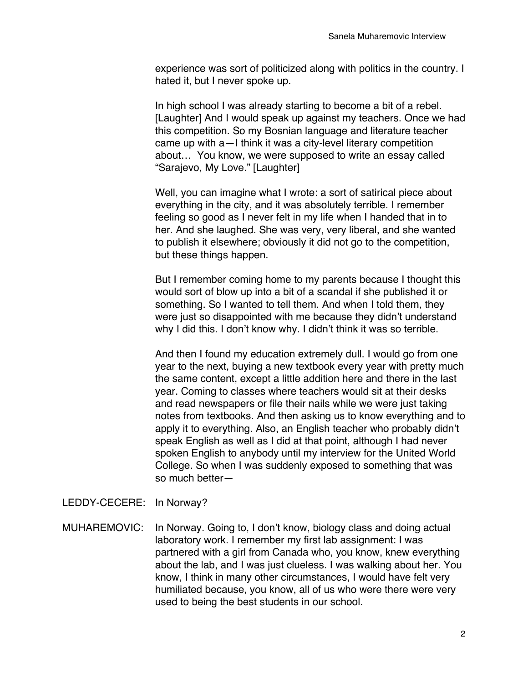experience was sort of politicized along with politics in the country. I hated it, but I never spoke up.

In high school I was already starting to become a bit of a rebel. [Laughter] And I would speak up against my teachers. Once we had this competition. So my Bosnian language and literature teacher came up with a—I think it was a city-level literary competition about… You know, we were supposed to write an essay called "Sarajevo, My Love." [Laughter]

Well, you can imagine what I wrote: a sort of satirical piece about everything in the city, and it was absolutely terrible. I remember feeling so good as I never felt in my life when I handed that in to her. And she laughed. She was very, very liberal, and she wanted to publish it elsewhere; obviously it did not go to the competition, but these things happen.

But I remember coming home to my parents because I thought this would sort of blow up into a bit of a scandal if she published it or something. So I wanted to tell them. And when I told them, they were just so disappointed with me because they didn't understand why I did this. I don't know why. I didn't think it was so terrible.

And then I found my education extremely dull. I would go from one year to the next, buying a new textbook every year with pretty much the same content, except a little addition here and there in the last year. Coming to classes where teachers would sit at their desks and read newspapers or file their nails while we were just taking notes from textbooks. And then asking us to know everything and to apply it to everything. Also, an English teacher who probably didn't speak English as well as I did at that point, although I had never spoken English to anybody until my interview for the United World College. So when I was suddenly exposed to something that was so much better—

## LEDDY-CECERE: In Norway?

MUHAREMOVIC: In Norway. Going to, I don't know, biology class and doing actual laboratory work. I remember my first lab assignment: I was partnered with a girl from Canada who, you know, knew everything about the lab, and I was just clueless. I was walking about her. You know, I think in many other circumstances, I would have felt very humiliated because, you know, all of us who were there were very used to being the best students in our school.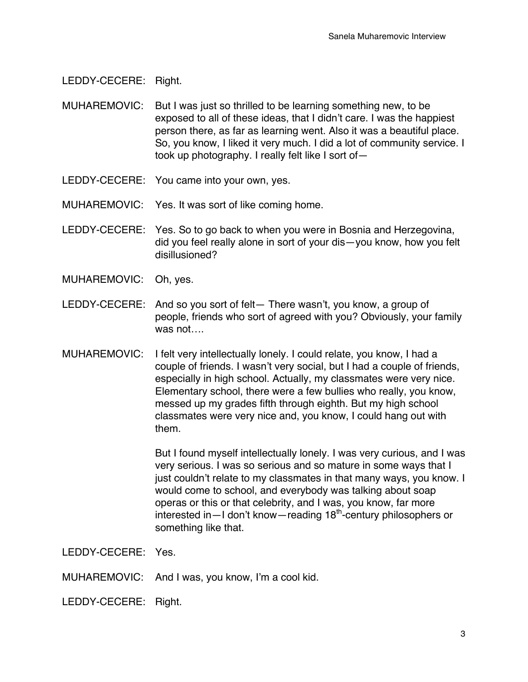LEDDY-CECERE: Right.

- MUHAREMOVIC: But I was just so thrilled to be learning something new, to be exposed to all of these ideas, that I didn't care. I was the happiest person there, as far as learning went. Also it was a beautiful place. So, you know, I liked it very much. I did a lot of community service. I took up photography. I really felt like I sort of—
- LEDDY-CECERE: You came into your own, yes.
- MUHAREMOVIC: Yes. It was sort of like coming home.
- LEDDY-CECERE: Yes. So to go back to when you were in Bosnia and Herzegovina, did you feel really alone in sort of your dis—you know, how you felt disillusioned?
- MUHAREMOVIC: Oh, yes.
- LEDDY-CECERE: And so you sort of felt— There wasn't, you know, a group of people, friends who sort of agreed with you? Obviously, your family was not….
- MUHAREMOVIC: I felt very intellectually lonely. I could relate, you know, I had a couple of friends. I wasn't very social, but I had a couple of friends, especially in high school. Actually, my classmates were very nice. Elementary school, there were a few bullies who really, you know, messed up my grades fifth through eighth. But my high school classmates were very nice and, you know, I could hang out with them.

But I found myself intellectually lonely. I was very curious, and I was very serious. I was so serious and so mature in some ways that I just couldn't relate to my classmates in that many ways, you know. I would come to school, and everybody was talking about soap operas or this or that celebrity, and I was, you know, far more interested in - I don't know - reading 18<sup>th</sup>-century philosophers or something like that.

LEDDY-CECERE: Yes.

MUHAREMOVIC: And I was, you know, I'm a cool kid.

LEDDY-CECERE: Right.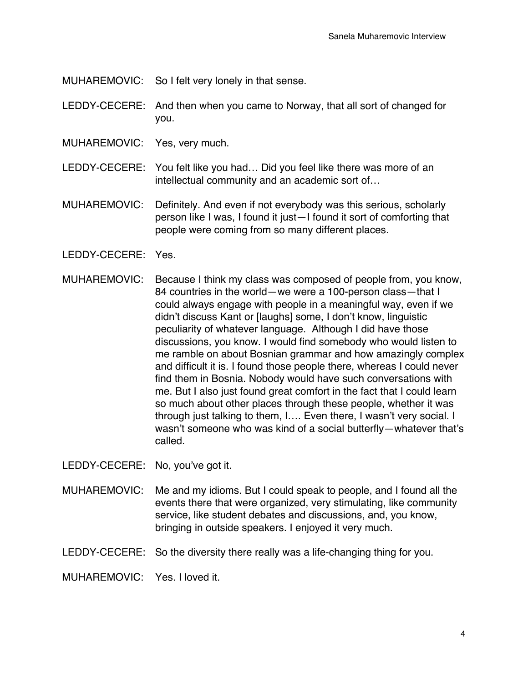MUHAREMOVIC: So I felt very lonely in that sense.

- LEDDY-CECERE: And then when you came to Norway, that all sort of changed for you.
- MUHAREMOVIC: Yes, very much.
- LEDDY-CECERE: You felt like you had… Did you feel like there was more of an intellectual community and an academic sort of…
- MUHAREMOVIC: Definitely. And even if not everybody was this serious, scholarly person like I was, I found it just—I found it sort of comforting that people were coming from so many different places.
- LEDDY-CECERE: Yes.
- MUHAREMOVIC: Because I think my class was composed of people from, you know, 84 countries in the world—we were a 100-person class—that I could always engage with people in a meaningful way, even if we didn't discuss Kant or [laughs] some, I don't know, linguistic peculiarity of whatever language. Although I did have those discussions, you know. I would find somebody who would listen to me ramble on about Bosnian grammar and how amazingly complex and difficult it is. I found those people there, whereas I could never find them in Bosnia. Nobody would have such conversations with me. But I also just found great comfort in the fact that I could learn so much about other places through these people, whether it was through just talking to them, I…. Even there, I wasn't very social. I wasn't someone who was kind of a social butterfly—whatever that's called.

LEDDY-CECERE: No, you've got it.

MUHAREMOVIC: Me and my idioms. But I could speak to people, and I found all the events there that were organized, very stimulating, like community service, like student debates and discussions, and, you know, bringing in outside speakers. I enjoyed it very much.

LEDDY-CECERE: So the diversity there really was a life-changing thing for you.

MUHAREMOVIC: Yes. I loved it.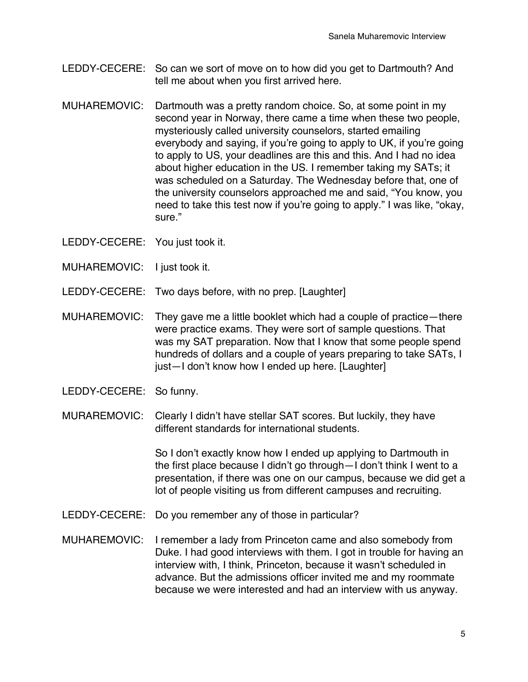- LEDDY-CECERE: So can we sort of move on to how did you get to Dartmouth? And tell me about when you first arrived here.
- MUHAREMOVIC: Dartmouth was a pretty random choice. So, at some point in my second year in Norway, there came a time when these two people, mysteriously called university counselors, started emailing everybody and saying, if you're going to apply to UK, if you're going to apply to US, your deadlines are this and this. And I had no idea about higher education in the US. I remember taking my SATs; it was scheduled on a Saturday. The Wednesday before that, one of the university counselors approached me and said, "You know, you need to take this test now if you're going to apply." I was like, "okay, sure."
- LEDDY-CECERE: You just took it.
- MUHAREMOVIC: I just took it.
- LEDDY-CECERE: Two days before, with no prep. [Laughter]
- MUHAREMOVIC: They gave me a little booklet which had a couple of practice—there were practice exams. They were sort of sample questions. That was my SAT preparation. Now that I know that some people spend hundreds of dollars and a couple of years preparing to take SATs, I just—I don't know how I ended up here. [Laughter]
- LEDDY-CECERE: So funny.
- MURAREMOVIC: Clearly I didn't have stellar SAT scores. But luckily, they have different standards for international students.

So I don't exactly know how I ended up applying to Dartmouth in the first place because I didn't go through—I don't think I went to a presentation, if there was one on our campus, because we did get a lot of people visiting us from different campuses and recruiting.

- LEDDY-CECERE: Do you remember any of those in particular?
- MUHAREMOVIC: I remember a lady from Princeton came and also somebody from Duke. I had good interviews with them. I got in trouble for having an interview with, I think, Princeton, because it wasn't scheduled in advance. But the admissions officer invited me and my roommate because we were interested and had an interview with us anyway.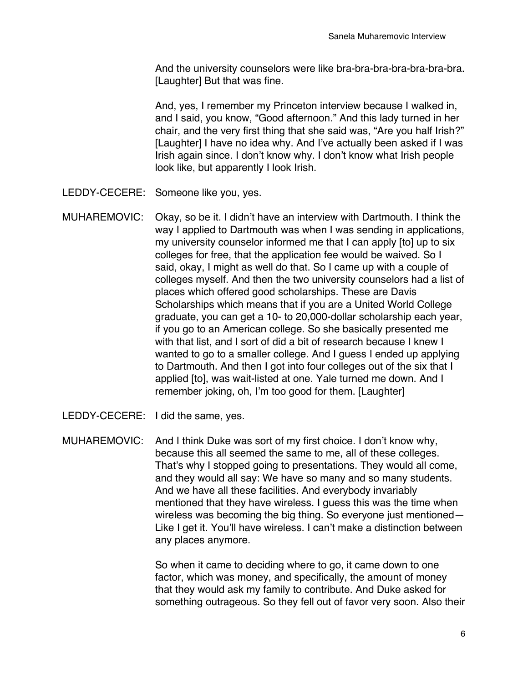And the university counselors were like bra-bra-bra-bra-bra-bra-bra. [Laughter] But that was fine.

And, yes, I remember my Princeton interview because I walked in, and I said, you know, "Good afternoon." And this lady turned in her chair, and the very first thing that she said was, "Are you half Irish?" [Laughter] I have no idea why. And I've actually been asked if I was Irish again since. I don't know why. I don't know what Irish people look like, but apparently I look Irish.

- LEDDY-CECERE: Someone like you, yes.
- MUHAREMOVIC: Okay, so be it. I didn't have an interview with Dartmouth. I think the way I applied to Dartmouth was when I was sending in applications, my university counselor informed me that I can apply [to] up to six colleges for free, that the application fee would be waived. So I said, okay, I might as well do that. So I came up with a couple of colleges myself. And then the two university counselors had a list of places which offered good scholarships. These are Davis Scholarships which means that if you are a United World College graduate, you can get a 10- to 20,000-dollar scholarship each year, if you go to an American college. So she basically presented me with that list, and I sort of did a bit of research because I knew I wanted to go to a smaller college. And I guess I ended up applying to Dartmouth. And then I got into four colleges out of the six that I applied [to], was wait-listed at one. Yale turned me down. And I remember joking, oh, I'm too good for them. [Laughter]
- LEDDY-CECERE: I did the same, yes.

MUHAREMOVIC: And I think Duke was sort of my first choice. I don't know why, because this all seemed the same to me, all of these colleges. That's why I stopped going to presentations. They would all come, and they would all say: We have so many and so many students. And we have all these facilities. And everybody invariably mentioned that they have wireless. I guess this was the time when wireless was becoming the big thing. So everyone just mentioned— Like I get it. You'll have wireless. I can't make a distinction between any places anymore.

> So when it came to deciding where to go, it came down to one factor, which was money, and specifically, the amount of money that they would ask my family to contribute. And Duke asked for something outrageous. So they fell out of favor very soon. Also their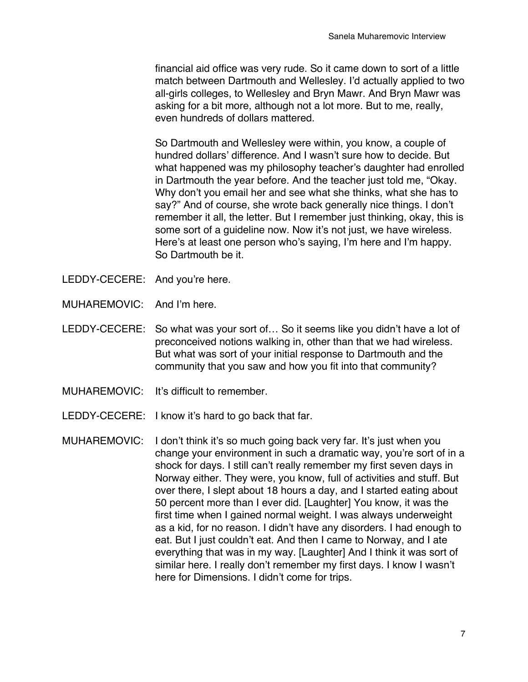financial aid office was very rude. So it came down to sort of a little match between Dartmouth and Wellesley. I'd actually applied to two all-girls colleges, to Wellesley and Bryn Mawr. And Bryn Mawr was asking for a bit more, although not a lot more. But to me, really, even hundreds of dollars mattered.

So Dartmouth and Wellesley were within, you know, a couple of hundred dollars' difference. And I wasn't sure how to decide. But what happened was my philosophy teacher's daughter had enrolled in Dartmouth the year before. And the teacher just told me, "Okay. Why don't you email her and see what she thinks, what she has to say?" And of course, she wrote back generally nice things. I don't remember it all, the letter. But I remember just thinking, okay, this is some sort of a guideline now. Now it's not just, we have wireless. Here's at least one person who's saying, I'm here and I'm happy. So Dartmouth be it.

- LEDDY-CECERE: And you're here.
- MUHAREMOVIC: And I'm here.
- LEDDY-CECERE: So what was your sort of… So it seems like you didn't have a lot of preconceived notions walking in, other than that we had wireless. But what was sort of your initial response to Dartmouth and the community that you saw and how you fit into that community?
- MUHAREMOVIC: It's difficult to remember.
- LEDDY-CECERE: I know it's hard to go back that far.
- MUHAREMOVIC: I don't think it's so much going back very far. It's just when you change your environment in such a dramatic way, you're sort of in a shock for days. I still can't really remember my first seven days in Norway either. They were, you know, full of activities and stuff. But over there, I slept about 18 hours a day, and I started eating about 50 percent more than I ever did. [Laughter] You know, it was the first time when I gained normal weight. I was always underweight as a kid, for no reason. I didn't have any disorders. I had enough to eat. But I just couldn't eat. And then I came to Norway, and I ate everything that was in my way. [Laughter] And I think it was sort of similar here. I really don't remember my first days. I know I wasn't here for Dimensions. I didn't come for trips.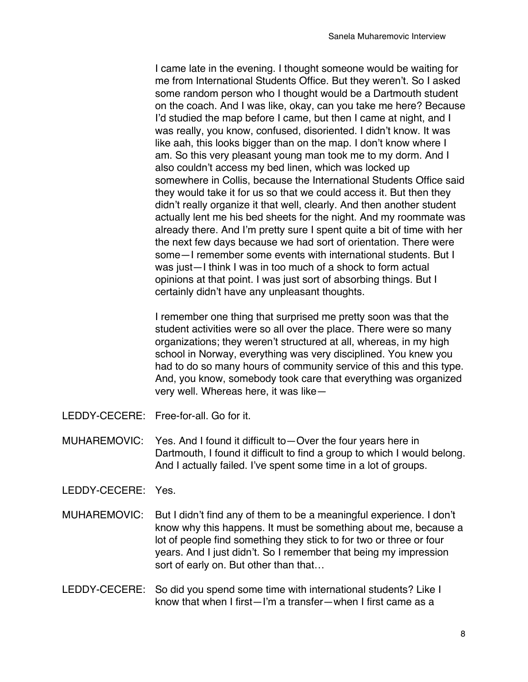I came late in the evening. I thought someone would be waiting for me from International Students Office. But they weren't. So I asked some random person who I thought would be a Dartmouth student on the coach. And I was like, okay, can you take me here? Because I'd studied the map before I came, but then I came at night, and I was really, you know, confused, disoriented. I didn't know. It was like aah, this looks bigger than on the map. I don't know where I am. So this very pleasant young man took me to my dorm. And I also couldn't access my bed linen, which was locked up somewhere in Collis, because the International Students Office said they would take it for us so that we could access it. But then they didn't really organize it that well, clearly. And then another student actually lent me his bed sheets for the night. And my roommate was already there. And I'm pretty sure I spent quite a bit of time with her the next few days because we had sort of orientation. There were some—I remember some events with international students. But I was just—I think I was in too much of a shock to form actual opinions at that point. I was just sort of absorbing things. But I certainly didn't have any unpleasant thoughts.

I remember one thing that surprised me pretty soon was that the student activities were so all over the place. There were so many organizations; they weren't structured at all, whereas, in my high school in Norway, everything was very disciplined. You knew you had to do so many hours of community service of this and this type. And, you know, somebody took care that everything was organized very well. Whereas here, it was like—

- LEDDY-CECERE: Free-for-all. Go for it.
- MUHAREMOVIC: Yes. And I found it difficult to—Over the four years here in Dartmouth, I found it difficult to find a group to which I would belong. And I actually failed. I've spent some time in a lot of groups.
- LEDDY-CECERE: Yes.
- MUHAREMOVIC: But I didn't find any of them to be a meaningful experience. I don't know why this happens. It must be something about me, because a lot of people find something they stick to for two or three or four years. And I just didn't. So I remember that being my impression sort of early on. But other than that…
- LEDDY-CECERE: So did you spend some time with international students? Like I know that when I first—I'm a transfer—when I first came as a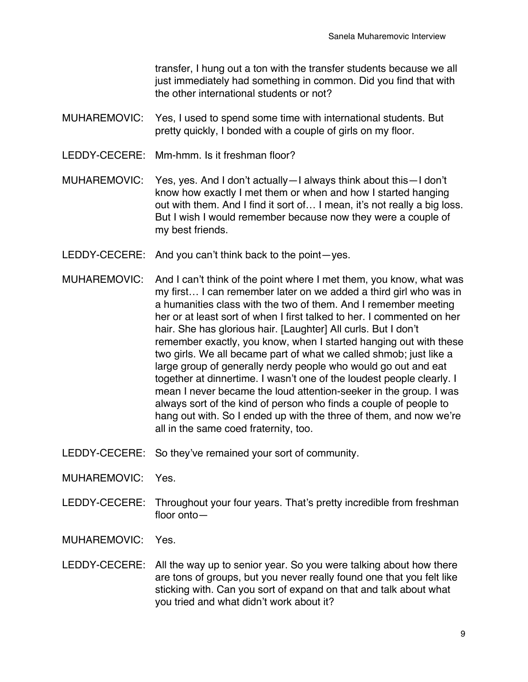transfer, I hung out a ton with the transfer students because we all just immediately had something in common. Did you find that with the other international students or not?

- MUHAREMOVIC: Yes, I used to spend some time with international students. But pretty quickly, I bonded with a couple of girls on my floor.
- LEDDY-CECERE: Mm-hmm. Is it freshman floor?
- MUHAREMOVIC: Yes, yes. And I don't actually—I always think about this—I don't know how exactly I met them or when and how I started hanging out with them. And I find it sort of… I mean, it's not really a big loss. But I wish I would remember because now they were a couple of my best friends.
- LEDDY-CECERE: And you can't think back to the point—yes.
- MUHAREMOVIC: And I can't think of the point where I met them, you know, what was my first… I can remember later on we added a third girl who was in a humanities class with the two of them. And I remember meeting her or at least sort of when I first talked to her. I commented on her hair. She has glorious hair. [Laughter] All curls. But I don't remember exactly, you know, when I started hanging out with these two girls. We all became part of what we called shmob; just like a large group of generally nerdy people who would go out and eat together at dinnertime. I wasn't one of the loudest people clearly. I mean I never became the loud attention-seeker in the group. I was always sort of the kind of person who finds a couple of people to hang out with. So I ended up with the three of them, and now we're all in the same coed fraternity, too.
- LEDDY-CECERE: So they've remained your sort of community.
- MUHAREMOVIC: Yes.
- LEDDY-CECERE: Throughout your four years. That's pretty incredible from freshman floor onto—
- MUHAREMOVIC: Yes.
- LEDDY-CECERE: All the way up to senior year. So you were talking about how there are tons of groups, but you never really found one that you felt like sticking with. Can you sort of expand on that and talk about what you tried and what didn't work about it?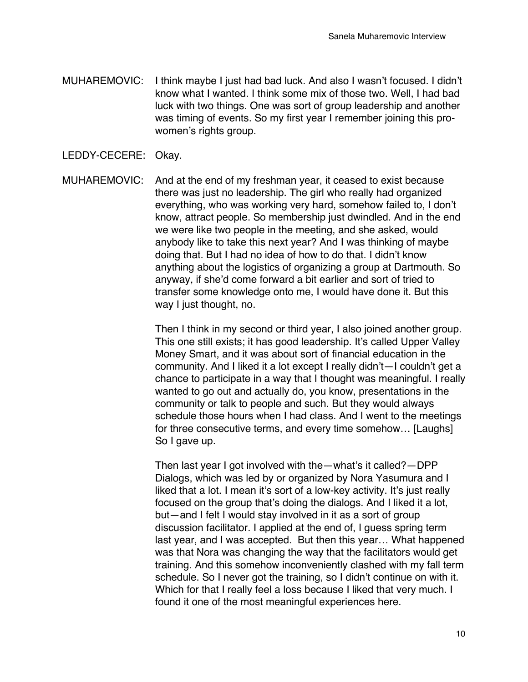- MUHAREMOVIC: I think maybe I just had bad luck. And also I wasn't focused. I didn't know what I wanted. I think some mix of those two. Well, I had bad luck with two things. One was sort of group leadership and another was timing of events. So my first year I remember joining this prowomen's rights group.
- LEDDY-CECERE: Okay.

MUHAREMOVIC: And at the end of my freshman year, it ceased to exist because there was just no leadership. The girl who really had organized everything, who was working very hard, somehow failed to, I don't know, attract people. So membership just dwindled. And in the end we were like two people in the meeting, and she asked, would anybody like to take this next year? And I was thinking of maybe doing that. But I had no idea of how to do that. I didn't know anything about the logistics of organizing a group at Dartmouth. So anyway, if she'd come forward a bit earlier and sort of tried to transfer some knowledge onto me, I would have done it. But this way I just thought, no.

> Then I think in my second or third year, I also joined another group. This one still exists; it has good leadership. It's called Upper Valley Money Smart, and it was about sort of financial education in the community. And I liked it a lot except I really didn't—I couldn't get a chance to participate in a way that I thought was meaningful. I really wanted to go out and actually do, you know, presentations in the community or talk to people and such. But they would always schedule those hours when I had class. And I went to the meetings for three consecutive terms, and every time somehow… [Laughs] So I gave up.

> Then last year I got involved with the—what's it called?—DPP Dialogs, which was led by or organized by Nora Yasumura and I liked that a lot. I mean it's sort of a low-key activity. It's just really focused on the group that's doing the dialogs. And I liked it a lot, but—and I felt I would stay involved in it as a sort of group discussion facilitator. I applied at the end of, I guess spring term last year, and I was accepted. But then this year… What happened was that Nora was changing the way that the facilitators would get training. And this somehow inconveniently clashed with my fall term schedule. So I never got the training, so I didn't continue on with it. Which for that I really feel a loss because I liked that very much. I found it one of the most meaningful experiences here.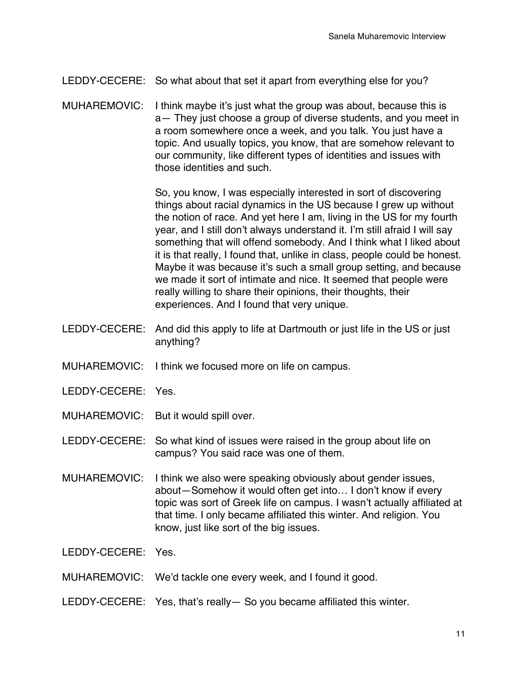- LEDDY-CECERE: So what about that set it apart from everything else for you?
- MUHAREMOVIC: I think maybe it's just what the group was about, because this is a— They just choose a group of diverse students, and you meet in a room somewhere once a week, and you talk. You just have a topic. And usually topics, you know, that are somehow relevant to our community, like different types of identities and issues with those identities and such.

So, you know, I was especially interested in sort of discovering things about racial dynamics in the US because I grew up without the notion of race. And yet here I am, living in the US for my fourth year, and I still don't always understand it. I'm still afraid I will say something that will offend somebody. And I think what I liked about it is that really, I found that, unlike in class, people could be honest. Maybe it was because it's such a small group setting, and because we made it sort of intimate and nice. It seemed that people were really willing to share their opinions, their thoughts, their experiences. And I found that very unique.

- LEDDY-CECERE: And did this apply to life at Dartmouth or just life in the US or just anything?
- MUHAREMOVIC: I think we focused more on life on campus.
- LEDDY-CECERE: Yes.
- MUHAREMOVIC: But it would spill over.

LEDDY-CECERE: So what kind of issues were raised in the group about life on campus? You said race was one of them.

- MUHAREMOVIC: I think we also were speaking obviously about gender issues, about—Somehow it would often get into… I don't know if every topic was sort of Greek life on campus. I wasn't actually affiliated at that time. I only became affiliated this winter. And religion. You know, just like sort of the big issues.
- LEDDY-CECERE: Yes.
- MUHAREMOVIC: We'd tackle one every week, and I found it good.
- LEDDY-CECERE: Yes, that's really— So you became affiliated this winter.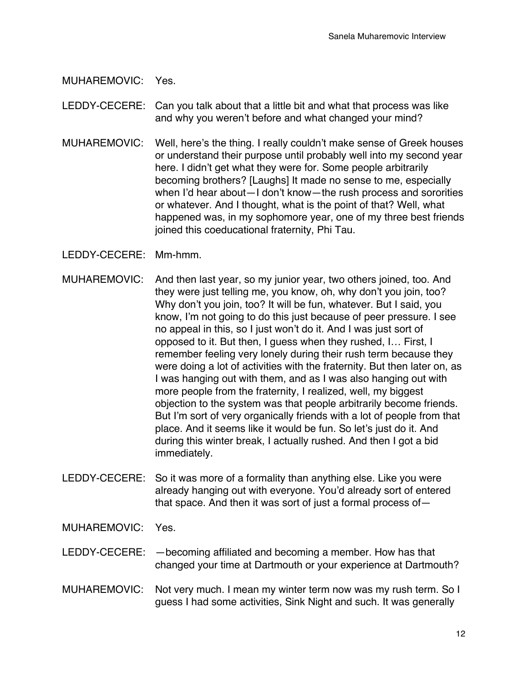MUHAREMOVIC: Yes.

LEDDY-CECERE: Can you talk about that a little bit and what that process was like and why you weren't before and what changed your mind?

MUHAREMOVIC: Well, here's the thing. I really couldn't make sense of Greek houses or understand their purpose until probably well into my second year here. I didn't get what they were for. Some people arbitrarily becoming brothers? [Laughs] It made no sense to me, especially when I'd hear about—I don't know—the rush process and sororities or whatever. And I thought, what is the point of that? Well, what happened was, in my sophomore year, one of my three best friends joined this coeducational fraternity, Phi Tau.

LEDDY-CECERE: Mm-hmm.

- MUHAREMOVIC: And then last year, so my junior year, two others joined, too. And they were just telling me, you know, oh, why don't you join, too? Why don't you join, too? It will be fun, whatever. But I said, you know, I'm not going to do this just because of peer pressure. I see no appeal in this, so I just won't do it. And I was just sort of opposed to it. But then, I guess when they rushed, I… First, I remember feeling very lonely during their rush term because they were doing a lot of activities with the fraternity. But then later on, as I was hanging out with them, and as I was also hanging out with more people from the fraternity, I realized, well, my biggest objection to the system was that people arbitrarily become friends. But I'm sort of very organically friends with a lot of people from that place. And it seems like it would be fun. So let's just do it. And during this winter break, I actually rushed. And then I got a bid immediately.
- LEDDY-CECERE: So it was more of a formality than anything else. Like you were already hanging out with everyone. You'd already sort of entered that space. And then it was sort of just a formal process of—

MUHAREMOVIC: Yes.

- LEDDY-CECERE: —becoming affiliated and becoming a member. How has that changed your time at Dartmouth or your experience at Dartmouth?
- MUHAREMOVIC: Not very much. I mean my winter term now was my rush term. So I guess I had some activities, Sink Night and such. It was generally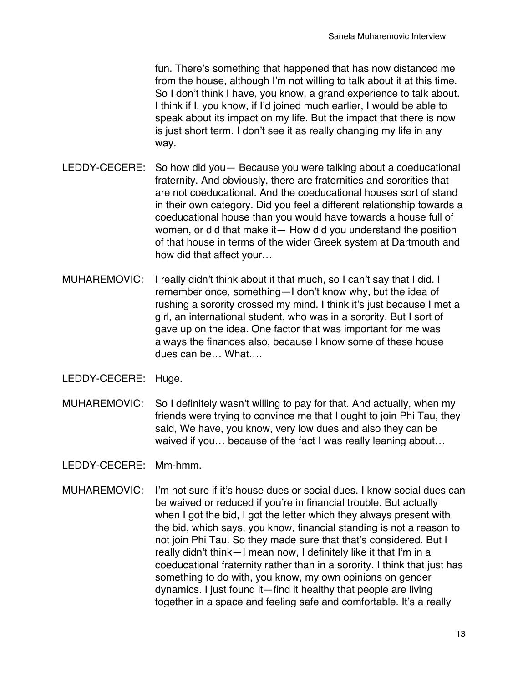fun. There's something that happened that has now distanced me from the house, although I'm not willing to talk about it at this time. So I don't think I have, you know, a grand experience to talk about. I think if I, you know, if I'd joined much earlier, I would be able to speak about its impact on my life. But the impact that there is now is just short term. I don't see it as really changing my life in any way.

- LEDDY-CECERE: So how did you— Because you were talking about a coeducational fraternity. And obviously, there are fraternities and sororities that are not coeducational. And the coeducational houses sort of stand in their own category. Did you feel a different relationship towards a coeducational house than you would have towards a house full of women, or did that make it— How did you understand the position of that house in terms of the wider Greek system at Dartmouth and how did that affect your…
- MUHAREMOVIC: I really didn't think about it that much, so I can't say that I did. I remember once, something—I don't know why, but the idea of rushing a sorority crossed my mind. I think it's just because I met a girl, an international student, who was in a sorority. But I sort of gave up on the idea. One factor that was important for me was always the finances also, because I know some of these house dues can be… What….
- LEDDY-CECERE: Huge.
- MUHAREMOVIC: So I definitely wasn't willing to pay for that. And actually, when my friends were trying to convince me that I ought to join Phi Tau, they said, We have, you know, very low dues and also they can be waived if you... because of the fact I was really leaning about...

LEDDY-CECERE: Mm-hmm.

MUHAREMOVIC: I'm not sure if it's house dues or social dues. I know social dues can be waived or reduced if you're in financial trouble. But actually when I got the bid, I got the letter which they always present with the bid, which says, you know, financial standing is not a reason to not join Phi Tau. So they made sure that that's considered. But I really didn't think—I mean now, I definitely like it that I'm in a coeducational fraternity rather than in a sorority. I think that just has something to do with, you know, my own opinions on gender dynamics. I just found it—find it healthy that people are living together in a space and feeling safe and comfortable. It's a really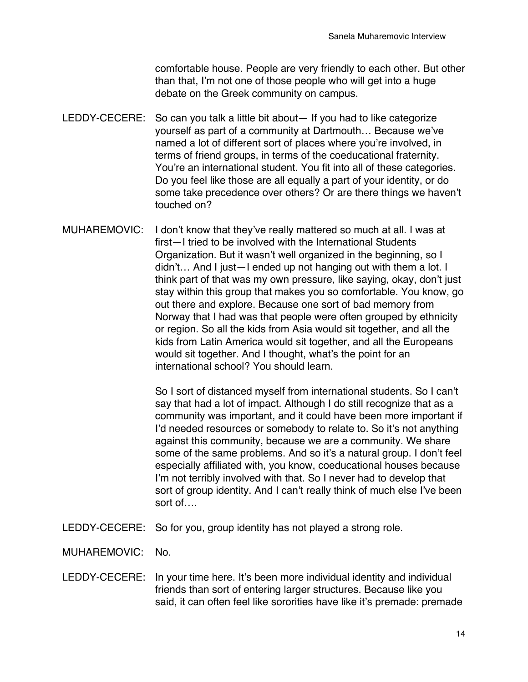comfortable house. People are very friendly to each other. But other than that, I'm not one of those people who will get into a huge debate on the Greek community on campus.

- LEDDY-CECERE: So can you talk a little bit about— If you had to like categorize yourself as part of a community at Dartmouth… Because we've named a lot of different sort of places where you're involved, in terms of friend groups, in terms of the coeducational fraternity. You're an international student. You fit into all of these categories. Do you feel like those are all equally a part of your identity, or do some take precedence over others? Or are there things we haven't touched on?
- MUHAREMOVIC: I don't know that they've really mattered so much at all. I was at first—I tried to be involved with the International Students Organization. But it wasn't well organized in the beginning, so I didn't… And I just—I ended up not hanging out with them a lot. I think part of that was my own pressure, like saying, okay, don't just stay within this group that makes you so comfortable. You know, go out there and explore. Because one sort of bad memory from Norway that I had was that people were often grouped by ethnicity or region. So all the kids from Asia would sit together, and all the kids from Latin America would sit together, and all the Europeans would sit together. And I thought, what's the point for an international school? You should learn.

So I sort of distanced myself from international students. So I can't say that had a lot of impact. Although I do still recognize that as a community was important, and it could have been more important if I'd needed resources or somebody to relate to. So it's not anything against this community, because we are a community. We share some of the same problems. And so it's a natural group. I don't feel especially affiliated with, you know, coeducational houses because I'm not terribly involved with that. So I never had to develop that sort of group identity. And I can't really think of much else I've been sort of….

- LEDDY-CECERE: So for you, group identity has not played a strong role.
- MUHAREMOVIC: No.
- LEDDY-CECERE: In your time here. It's been more individual identity and individual friends than sort of entering larger structures. Because like you said, it can often feel like sororities have like it's premade: premade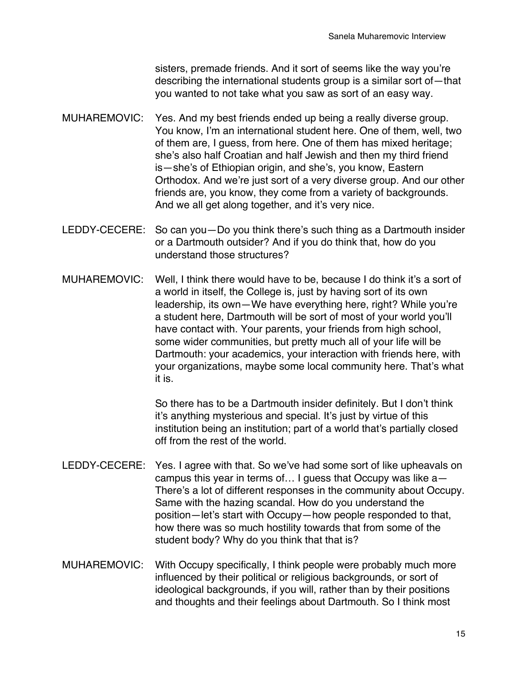sisters, premade friends. And it sort of seems like the way you're describing the international students group is a similar sort of—that you wanted to not take what you saw as sort of an easy way.

- MUHAREMOVIC: Yes. And my best friends ended up being a really diverse group. You know, I'm an international student here. One of them, well, two of them are, I guess, from here. One of them has mixed heritage; she's also half Croatian and half Jewish and then my third friend is—she's of Ethiopian origin, and she's, you know, Eastern Orthodox. And we're just sort of a very diverse group. And our other friends are, you know, they come from a variety of backgrounds. And we all get along together, and it's very nice.
- LEDDY-CECERE: So can you—Do you think there's such thing as a Dartmouth insider or a Dartmouth outsider? And if you do think that, how do you understand those structures?
- MUHAREMOVIC: Well, I think there would have to be, because I do think it's a sort of a world in itself, the College is, just by having sort of its own leadership, its own—We have everything here, right? While you're a student here, Dartmouth will be sort of most of your world you'll have contact with. Your parents, your friends from high school, some wider communities, but pretty much all of your life will be Dartmouth: your academics, your interaction with friends here, with your organizations, maybe some local community here. That's what it is.

So there has to be a Dartmouth insider definitely. But I don't think it's anything mysterious and special. It's just by virtue of this institution being an institution; part of a world that's partially closed off from the rest of the world.

- LEDDY-CECERE: Yes. I agree with that. So we've had some sort of like upheavals on campus this year in terms of… I guess that Occupy was like a— There's a lot of different responses in the community about Occupy. Same with the hazing scandal. How do you understand the position—let's start with Occupy—how people responded to that, how there was so much hostility towards that from some of the student body? Why do you think that that is?
- MUHAREMOVIC: With Occupy specifically, I think people were probably much more influenced by their political or religious backgrounds, or sort of ideological backgrounds, if you will, rather than by their positions and thoughts and their feelings about Dartmouth. So I think most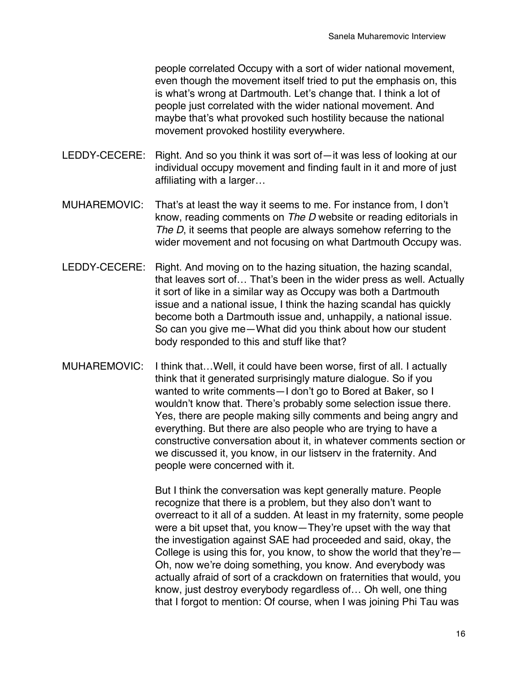people correlated Occupy with a sort of wider national movement, even though the movement itself tried to put the emphasis on, this is what's wrong at Dartmouth. Let's change that. I think a lot of people just correlated with the wider national movement. And maybe that's what provoked such hostility because the national movement provoked hostility everywhere.

- LEDDY-CECERE: Right. And so you think it was sort of—it was less of looking at our individual occupy movement and finding fault in it and more of just affiliating with a larger…
- MUHAREMOVIC: That's at least the way it seems to me. For instance from, I don't know, reading comments on *The D* website or reading editorials in *The D*, it seems that people are always somehow referring to the wider movement and not focusing on what Dartmouth Occupy was.
- LEDDY-CECERE: Right. And moving on to the hazing situation, the hazing scandal, that leaves sort of… That's been in the wider press as well. Actually it sort of like in a similar way as Occupy was both a Dartmouth issue and a national issue, I think the hazing scandal has quickly become both a Dartmouth issue and, unhappily, a national issue. So can you give me—What did you think about how our student body responded to this and stuff like that?
- MUHAREMOVIC: I think that…Well, it could have been worse, first of all. I actually think that it generated surprisingly mature dialogue. So if you wanted to write comments—I don't go to Bored at Baker, so I wouldn't know that. There's probably some selection issue there. Yes, there are people making silly comments and being angry and everything. But there are also people who are trying to have a constructive conversation about it, in whatever comments section or we discussed it, you know, in our listserv in the fraternity. And people were concerned with it.

But I think the conversation was kept generally mature. People recognize that there is a problem, but they also don't want to overreact to it all of a sudden. At least in my fraternity, some people were a bit upset that, you know—They're upset with the way that the investigation against SAE had proceeded and said, okay, the College is using this for, you know, to show the world that they're— Oh, now we're doing something, you know. And everybody was actually afraid of sort of a crackdown on fraternities that would, you know, just destroy everybody regardless of… Oh well, one thing that I forgot to mention: Of course, when I was joining Phi Tau was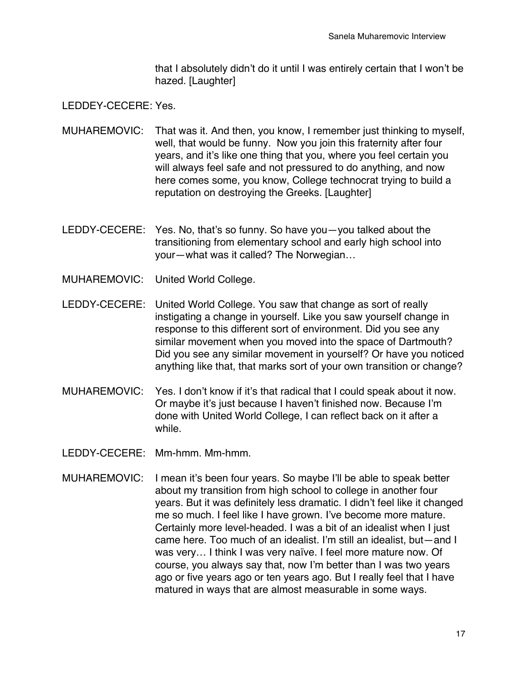that I absolutely didn't do it until I was entirely certain that I won't be hazed. [Laughter]

LEDDEY-CECERE: Yes.

- MUHAREMOVIC: That was it. And then, you know, I remember just thinking to myself, well, that would be funny. Now you join this fraternity after four years, and it's like one thing that you, where you feel certain you will always feel safe and not pressured to do anything, and now here comes some, you know, College technocrat trying to build a reputation on destroying the Greeks. [Laughter]
- LEDDY-CECERE: Yes. No, that's so funny. So have you—you talked about the transitioning from elementary school and early high school into your—what was it called? The Norwegian…
- MUHAREMOVIC: United World College.
- LEDDY-CECERE: United World College. You saw that change as sort of really instigating a change in yourself. Like you saw yourself change in response to this different sort of environment. Did you see any similar movement when you moved into the space of Dartmouth? Did you see any similar movement in yourself? Or have you noticed anything like that, that marks sort of your own transition or change?
- MUHAREMOVIC: Yes. I don't know if it's that radical that I could speak about it now. Or maybe it's just because I haven't finished now. Because I'm done with United World College, I can reflect back on it after a while.
- LEDDY-CECERE: Mm-hmm. Mm-hmm.
- MUHAREMOVIC: I mean it's been four years. So maybe I'll be able to speak better about my transition from high school to college in another four years. But it was definitely less dramatic. I didn't feel like it changed me so much. I feel like I have grown. I've become more mature. Certainly more level-headed. I was a bit of an idealist when I just came here. Too much of an idealist. I'm still an idealist, but—and I was very… I think I was very naïve. I feel more mature now. Of course, you always say that, now I'm better than I was two years ago or five years ago or ten years ago. But I really feel that I have matured in ways that are almost measurable in some ways.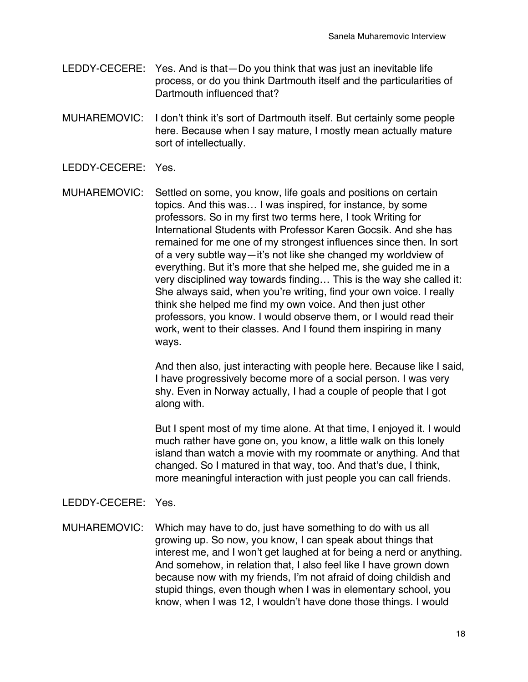- LEDDY-CECERE: Yes. And is that—Do you think that was just an inevitable life process, or do you think Dartmouth itself and the particularities of Dartmouth influenced that?
- MUHAREMOVIC: I don't think it's sort of Dartmouth itself. But certainly some people here. Because when I say mature, I mostly mean actually mature sort of intellectually.
- LEDDY-CECERE: Yes.
- MUHAREMOVIC: Settled on some, you know, life goals and positions on certain topics. And this was… I was inspired, for instance, by some professors. So in my first two terms here, I took Writing for International Students with Professor Karen Gocsik. And she has remained for me one of my strongest influences since then. In sort of a very subtle way—it's not like she changed my worldview of everything. But it's more that she helped me, she guided me in a very disciplined way towards finding… This is the way she called it: She always said, when you're writing, find your own voice. I really think she helped me find my own voice. And then just other professors, you know. I would observe them, or I would read their work, went to their classes. And I found them inspiring in many ways.

And then also, just interacting with people here. Because like I said, I have progressively become more of a social person. I was very shy. Even in Norway actually, I had a couple of people that I got along with.

But I spent most of my time alone. At that time, I enjoyed it. I would much rather have gone on, you know, a little walk on this lonely island than watch a movie with my roommate or anything. And that changed. So I matured in that way, too. And that's due, I think, more meaningful interaction with just people you can call friends.

## LEDDY-CECERE: Yes.

MUHAREMOVIC: Which may have to do, just have something to do with us all growing up. So now, you know, I can speak about things that interest me, and I won't get laughed at for being a nerd or anything. And somehow, in relation that, I also feel like I have grown down because now with my friends, I'm not afraid of doing childish and stupid things, even though when I was in elementary school, you know, when I was 12, I wouldn't have done those things. I would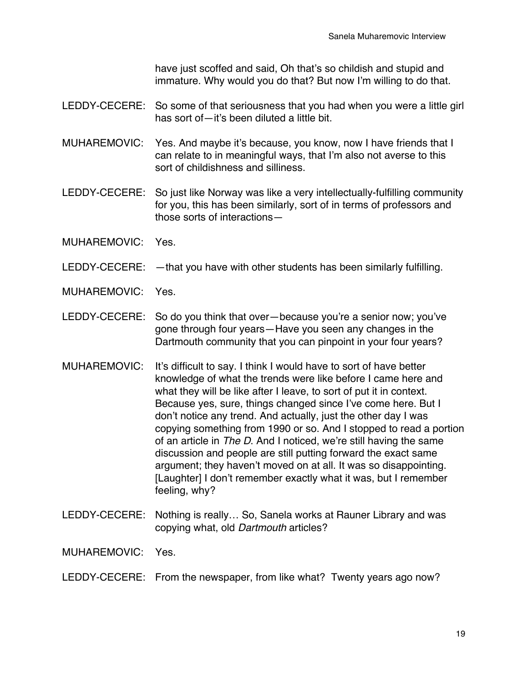have just scoffed and said, Oh that's so childish and stupid and immature. Why would you do that? But now I'm willing to do that.

- LEDDY-CECERE: So some of that seriousness that you had when you were a little girl has sort of—it's been diluted a little bit.
- MUHAREMOVIC: Yes. And maybe it's because, you know, now I have friends that I can relate to in meaningful ways, that I'm also not averse to this sort of childishness and silliness.
- LEDDY-CECERE: So just like Norway was like a very intellectually-fulfilling community for you, this has been similarly, sort of in terms of professors and those sorts of interactions—
- MUHAREMOVIC: Yes.
- LEDDY-CECERE:  $-$ that you have with other students has been similarly fulfilling.
- MUHAREMOVIC: Yes.
- LEDDY-CECERE: So do you think that over—because you're a senior now; you've gone through four years—Have you seen any changes in the Dartmouth community that you can pinpoint in your four years?
- MUHAREMOVIC: It's difficult to say. I think I would have to sort of have better knowledge of what the trends were like before I came here and what they will be like after I leave, to sort of put it in context. Because yes, sure, things changed since I've come here. But I don't notice any trend. And actually, just the other day I was copying something from 1990 or so. And I stopped to read a portion of an article in *The D*. And I noticed, we're still having the same discussion and people are still putting forward the exact same argument; they haven't moved on at all. It was so disappointing. [Laughter] I don't remember exactly what it was, but I remember feeling, why?
- LEDDY-CECERE: Nothing is really… So, Sanela works at Rauner Library and was copying what, old *Dartmouth* articles?

MUHAREMOVIC: Yes.

## LEDDY-CECERE: From the newspaper, from like what? Twenty years ago now?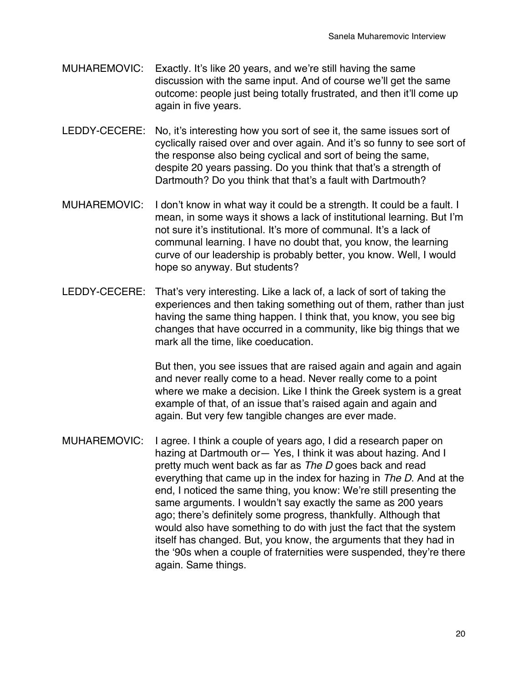- MUHAREMOVIC: Exactly. It's like 20 years, and we're still having the same discussion with the same input. And of course we'll get the same outcome: people just being totally frustrated, and then it'll come up again in five years.
- LEDDY-CECERE: No, it's interesting how you sort of see it, the same issues sort of cyclically raised over and over again. And it's so funny to see sort of the response also being cyclical and sort of being the same, despite 20 years passing. Do you think that that's a strength of Dartmouth? Do you think that that's a fault with Dartmouth?
- MUHAREMOVIC: I don't know in what way it could be a strength. It could be a fault. I mean, in some ways it shows a lack of institutional learning. But I'm not sure it's institutional. It's more of communal. It's a lack of communal learning. I have no doubt that, you know, the learning curve of our leadership is probably better, you know. Well, I would hope so anyway. But students?
- LEDDY-CECERE: That's very interesting. Like a lack of, a lack of sort of taking the experiences and then taking something out of them, rather than just having the same thing happen. I think that, you know, you see big changes that have occurred in a community, like big things that we mark all the time, like coeducation.

But then, you see issues that are raised again and again and again and never really come to a head. Never really come to a point where we make a decision. Like I think the Greek system is a great example of that, of an issue that's raised again and again and again. But very few tangible changes are ever made.

MUHAREMOVIC: I agree. I think a couple of years ago, I did a research paper on hazing at Dartmouth or— Yes, I think it was about hazing. And I pretty much went back as far as *The D* goes back and read everything that came up in the index for hazing in *The D*. And at the end, I noticed the same thing, you know: We're still presenting the same arguments. I wouldn't say exactly the same as 200 years ago; there's definitely some progress, thankfully. Although that would also have something to do with just the fact that the system itself has changed. But, you know, the arguments that they had in the ʻ90s when a couple of fraternities were suspended, they're there again. Same things.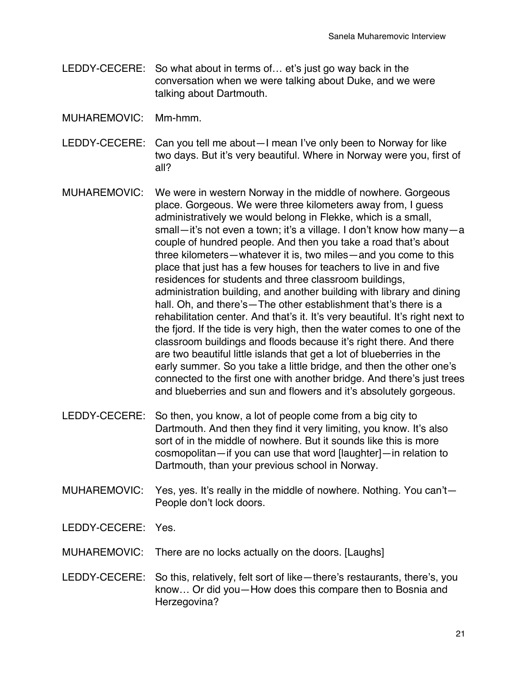- LEDDY-CECERE: So what about in terms of… et's just go way back in the conversation when we were talking about Duke, and we were talking about Dartmouth.
- MUHAREMOVIC: Mm-hmm.
- LEDDY-CECERE: Can you tell me about—I mean I've only been to Norway for like two days. But it's very beautiful. Where in Norway were you, first of all?
- MUHAREMOVIC: We were in western Norway in the middle of nowhere. Gorgeous place. Gorgeous. We were three kilometers away from, I guess administratively we would belong in Flekke, which is a small, small—it's not even a town; it's a village. I don't know how many—a couple of hundred people. And then you take a road that's about three kilometers—whatever it is, two miles—and you come to this place that just has a few houses for teachers to live in and five residences for students and three classroom buildings, administration building, and another building with library and dining hall. Oh, and there's—The other establishment that's there is a rehabilitation center. And that's it. It's very beautiful. It's right next to the fjord. If the tide is very high, then the water comes to one of the classroom buildings and floods because it's right there. And there are two beautiful little islands that get a lot of blueberries in the early summer. So you take a little bridge, and then the other one's connected to the first one with another bridge. And there's just trees and blueberries and sun and flowers and it's absolutely gorgeous.
- LEDDY-CECERE: So then, you know, a lot of people come from a big city to Dartmouth. And then they find it very limiting, you know. It's also sort of in the middle of nowhere. But it sounds like this is more cosmopolitan—if you can use that word [laughter]—in relation to Dartmouth, than your previous school in Norway.
- MUHAREMOVIC: Yes, yes. It's really in the middle of nowhere. Nothing. You can't— People don't lock doors.
- LEDDY-CECERE: Yes.
- MUHAREMOVIC: There are no locks actually on the doors. [Laughs]
- LEDDY-CECERE: So this, relatively, felt sort of like—there's restaurants, there's, you know… Or did you—How does this compare then to Bosnia and Herzegovina?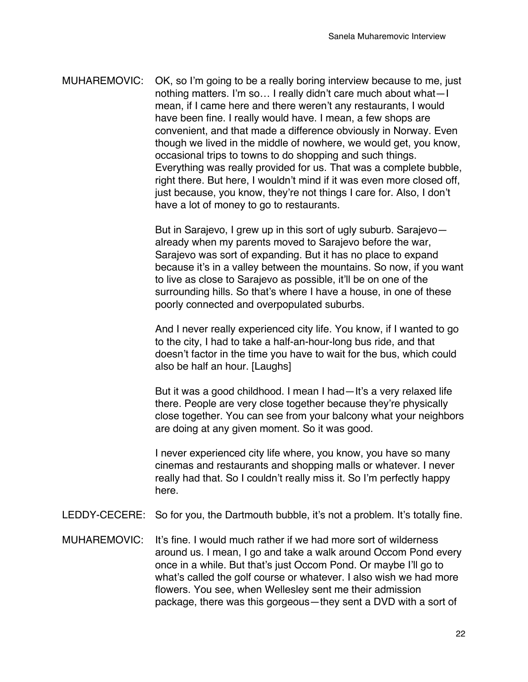MUHAREMOVIC: OK, so I'm going to be a really boring interview because to me, just nothing matters. I'm so… I really didn't care much about what—I mean, if I came here and there weren't any restaurants, I would have been fine. I really would have. I mean, a few shops are convenient, and that made a difference obviously in Norway. Even though we lived in the middle of nowhere, we would get, you know, occasional trips to towns to do shopping and such things. Everything was really provided for us. That was a complete bubble, right there. But here, I wouldn't mind if it was even more closed off, just because, you know, they're not things I care for. Also, I don't have a lot of money to go to restaurants.

> But in Sarajevo, I grew up in this sort of ugly suburb. Sarajevo already when my parents moved to Sarajevo before the war, Sarajevo was sort of expanding. But it has no place to expand because it's in a valley between the mountains. So now, if you want to live as close to Sarajevo as possible, it'll be on one of the surrounding hills. So that's where I have a house, in one of these poorly connected and overpopulated suburbs.

And I never really experienced city life. You know, if I wanted to go to the city, I had to take a half-an-hour-long bus ride, and that doesn't factor in the time you have to wait for the bus, which could also be half an hour. [Laughs]

But it was a good childhood. I mean I had—It's a very relaxed life there. People are very close together because they're physically close together. You can see from your balcony what your neighbors are doing at any given moment. So it was good.

I never experienced city life where, you know, you have so many cinemas and restaurants and shopping malls or whatever. I never really had that. So I couldn't really miss it. So I'm perfectly happy here.

- LEDDY-CECERE: So for you, the Dartmouth bubble, it's not a problem. It's totally fine.
- MUHAREMOVIC: It's fine. I would much rather if we had more sort of wilderness around us. I mean, I go and take a walk around Occom Pond every once in a while. But that's just Occom Pond. Or maybe I'll go to what's called the golf course or whatever. I also wish we had more flowers. You see, when Wellesley sent me their admission package, there was this gorgeous—they sent a DVD with a sort of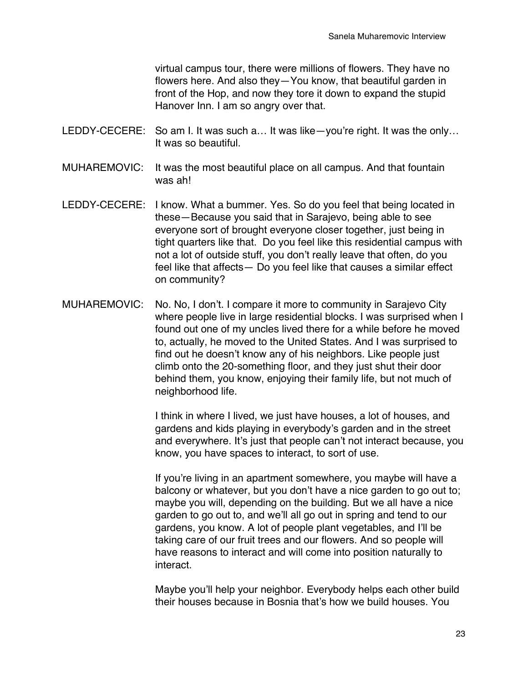virtual campus tour, there were millions of flowers. They have no flowers here. And also they—You know, that beautiful garden in front of the Hop, and now they tore it down to expand the stupid Hanover Inn. I am so angry over that.

- LEDDY-CECERE: So am I. It was such a... It was like—you're right. It was the only... It was so beautiful.
- MUHAREMOVIC: It was the most beautiful place on all campus. And that fountain was ah!
- LEDDY-CECERE: I know. What a bummer. Yes. So do you feel that being located in these—Because you said that in Sarajevo, being able to see everyone sort of brought everyone closer together, just being in tight quarters like that. Do you feel like this residential campus with not a lot of outside stuff, you don't really leave that often, do you feel like that affects— Do you feel like that causes a similar effect on community?
- MUHAREMOVIC: No. No, I don't. I compare it more to community in Sarajevo City where people live in large residential blocks. I was surprised when I found out one of my uncles lived there for a while before he moved to, actually, he moved to the United States. And I was surprised to find out he doesn't know any of his neighbors. Like people just climb onto the 20-something floor, and they just shut their door behind them, you know, enjoying their family life, but not much of neighborhood life.

I think in where I lived, we just have houses, a lot of houses, and gardens and kids playing in everybody's garden and in the street and everywhere. It's just that people can't not interact because, you know, you have spaces to interact, to sort of use.

If you're living in an apartment somewhere, you maybe will have a balcony or whatever, but you don't have a nice garden to go out to; maybe you will, depending on the building. But we all have a nice garden to go out to, and we'll all go out in spring and tend to our gardens, you know. A lot of people plant vegetables, and I'll be taking care of our fruit trees and our flowers. And so people will have reasons to interact and will come into position naturally to interact.

Maybe you'll help your neighbor. Everybody helps each other build their houses because in Bosnia that's how we build houses. You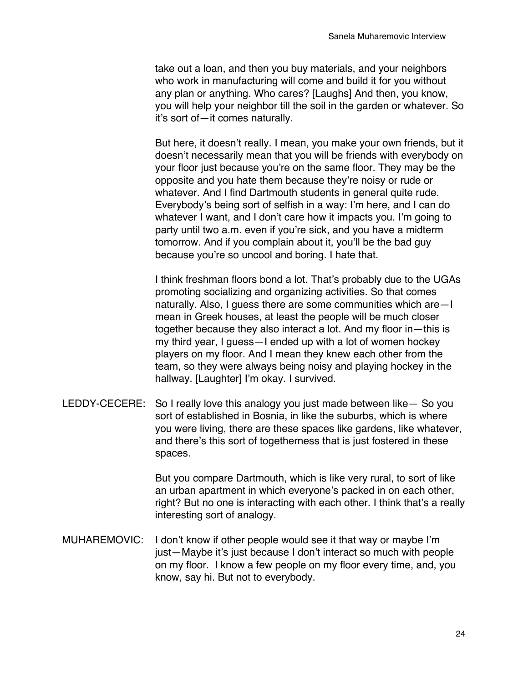take out a loan, and then you buy materials, and your neighbors who work in manufacturing will come and build it for you without any plan or anything. Who cares? [Laughs] And then, you know, you will help your neighbor till the soil in the garden or whatever. So it's sort of—it comes naturally.

But here, it doesn't really. I mean, you make your own friends, but it doesn't necessarily mean that you will be friends with everybody on your floor just because you're on the same floor. They may be the opposite and you hate them because they're noisy or rude or whatever. And I find Dartmouth students in general quite rude. Everybody's being sort of selfish in a way: I'm here, and I can do whatever I want, and I don't care how it impacts you. I'm going to party until two a.m. even if you're sick, and you have a midterm tomorrow. And if you complain about it, you'll be the bad guy because you're so uncool and boring. I hate that.

I think freshman floors bond a lot. That's probably due to the UGAs promoting socializing and organizing activities. So that comes naturally. Also, I guess there are some communities which are—I mean in Greek houses, at least the people will be much closer together because they also interact a lot. And my floor in—this is my third year, I guess—I ended up with a lot of women hockey players on my floor. And I mean they knew each other from the team, so they were always being noisy and playing hockey in the hallway. [Laughter] I'm okay. I survived.

LEDDY-CECERE: So I really love this analogy you just made between like— So you sort of established in Bosnia, in like the suburbs, which is where you were living, there are these spaces like gardens, like whatever, and there's this sort of togetherness that is just fostered in these spaces.

> But you compare Dartmouth, which is like very rural, to sort of like an urban apartment in which everyone's packed in on each other, right? But no one is interacting with each other. I think that's a really interesting sort of analogy.

MUHAREMOVIC: I don't know if other people would see it that way or maybe I'm just—Maybe it's just because I don't interact so much with people on my floor. I know a few people on my floor every time, and, you know, say hi. But not to everybody.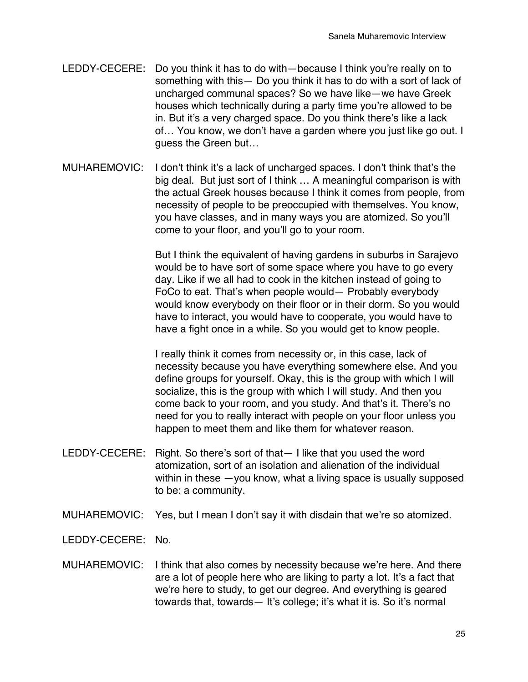- LEDDY-CECERE: Do you think it has to do with—because I think you're really on to something with this— Do you think it has to do with a sort of lack of uncharged communal spaces? So we have like—we have Greek houses which technically during a party time you're allowed to be in. But it's a very charged space. Do you think there's like a lack of… You know, we don't have a garden where you just like go out. I guess the Green but…
- MUHAREMOVIC: I don't think it's a lack of uncharged spaces. I don't think that's the big deal. But just sort of I think … A meaningful comparison is with the actual Greek houses because I think it comes from people, from necessity of people to be preoccupied with themselves. You know, you have classes, and in many ways you are atomized. So you'll come to your floor, and you'll go to your room.

But I think the equivalent of having gardens in suburbs in Sarajevo would be to have sort of some space where you have to go every day. Like if we all had to cook in the kitchen instead of going to FoCo to eat. That's when people would— Probably everybody would know everybody on their floor or in their dorm. So you would have to interact, you would have to cooperate, you would have to have a fight once in a while. So you would get to know people.

I really think it comes from necessity or, in this case, lack of necessity because you have everything somewhere else. And you define groups for yourself. Okay, this is the group with which I will socialize, this is the group with which I will study. And then you come back to your room, and you study. And that's it. There's no need for you to really interact with people on your floor unless you happen to meet them and like them for whatever reason.

- LEDDY-CECERE: Right. So there's sort of that— I like that you used the word atomization, sort of an isolation and alienation of the individual within in these —you know, what a living space is usually supposed to be: a community.
- MUHAREMOVIC: Yes, but I mean I don't say it with disdain that we're so atomized.

LEDDY-CECERE: No.

MUHAREMOVIC: I think that also comes by necessity because we're here. And there are a lot of people here who are liking to party a lot. It's a fact that we're here to study, to get our degree. And everything is geared towards that, towards— It's college; it's what it is. So it's normal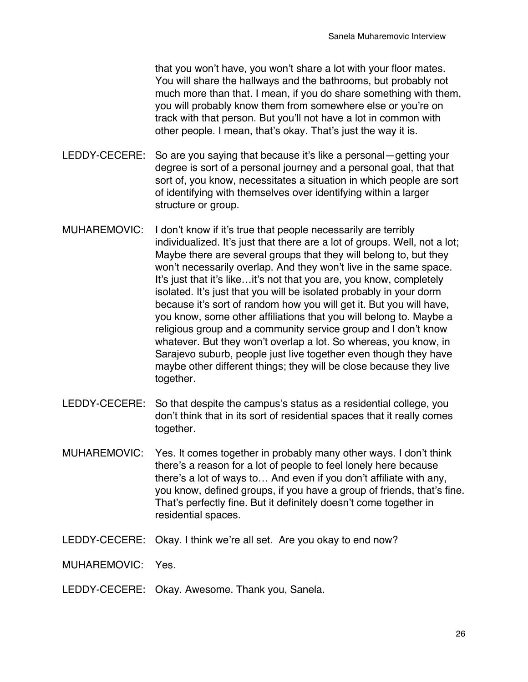that you won't have, you won't share a lot with your floor mates. You will share the hallways and the bathrooms, but probably not much more than that. I mean, if you do share something with them, you will probably know them from somewhere else or you're on track with that person. But you'll not have a lot in common with other people. I mean, that's okay. That's just the way it is.

- LEDDY-CECERE: So are you saying that because it's like a personal—getting your degree is sort of a personal journey and a personal goal, that that sort of, you know, necessitates a situation in which people are sort of identifying with themselves over identifying within a larger structure or group.
- MUHAREMOVIC: I don't know if it's true that people necessarily are terribly individualized. It's just that there are a lot of groups. Well, not a lot; Maybe there are several groups that they will belong to, but they won't necessarily overlap. And they won't live in the same space. It's just that it's like…it's not that you are, you know, completely isolated. It's just that you will be isolated probably in your dorm because it's sort of random how you will get it. But you will have, you know, some other affiliations that you will belong to. Maybe a religious group and a community service group and I don't know whatever. But they won't overlap a lot. So whereas, you know, in Sarajevo suburb, people just live together even though they have maybe other different things; they will be close because they live together.
- LEDDY-CECERE: So that despite the campus's status as a residential college, you don't think that in its sort of residential spaces that it really comes together.
- MUHAREMOVIC: Yes. It comes together in probably many other ways. I don't think there's a reason for a lot of people to feel lonely here because there's a lot of ways to… And even if you don't affiliate with any, you know, defined groups, if you have a group of friends, that's fine. That's perfectly fine. But it definitely doesn't come together in residential spaces.
- LEDDY-CECERE: Okay. I think we're all set. Are you okay to end now?
- MUHAREMOVIC: Yes.
- LEDDY-CECERE: Okay. Awesome. Thank you, Sanela.